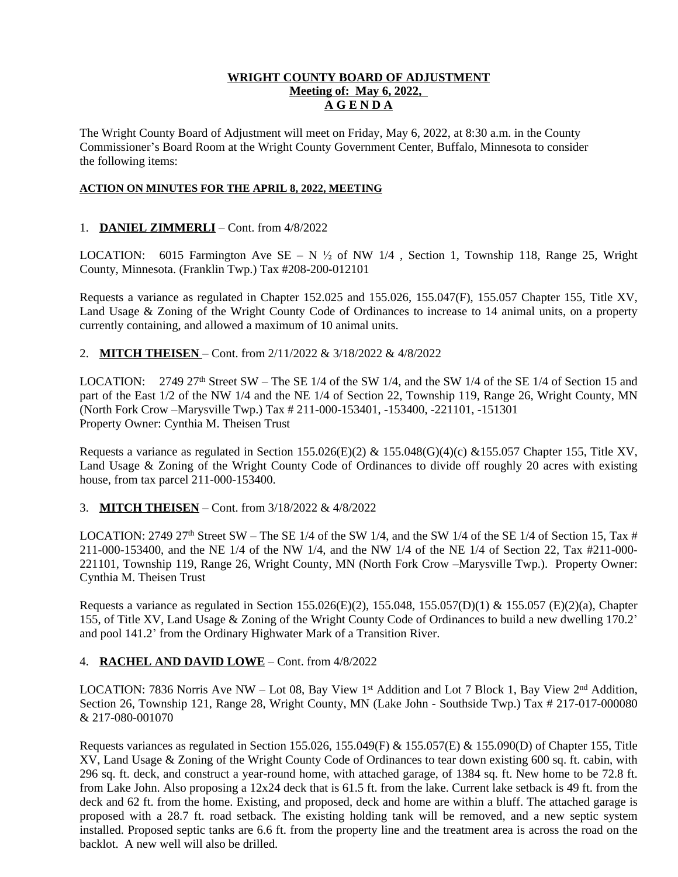## **WRIGHT COUNTY BOARD OF ADJUSTMENT Meeting of: May 6, 2022, A G E N D A**

The Wright County Board of Adjustment will meet on Friday, May 6, 2022, at 8:30 a.m. in the County Commissioner's Board Room at the Wright County Government Center, Buffalo, Minnesota to consider the following items:

#### **ACTION ON MINUTES FOR THE APRIL 8, 2022, MEETING**

### 1. **DANIEL ZIMMERLI** – Cont. from 4/8/2022

LOCATION: 6015 Farmington Ave SE – N  $\frac{1}{2}$  of NW 1/4, Section 1, Township 118, Range 25, Wright County, Minnesota. (Franklin Twp.) Tax #208-200-012101

Requests a variance as regulated in Chapter 152.025 and 155.026, 155.047(F), 155.057 Chapter 155, Title XV, Land Usage & Zoning of the Wright County Code of Ordinances to increase to 14 animal units, on a property currently containing, and allowed a maximum of 10 animal units.

2. **MITCH THEISEN** – Cont. from 2/11/2022 & 3/18/2022 & 4/8/2022

LOCATION: 2749 27<sup>th</sup> Street SW – The SE 1/4 of the SW 1/4, and the SW 1/4 of the SE 1/4 of Section 15 and part of the East 1/2 of the NW 1/4 and the NE 1/4 of Section 22, Township 119, Range 26, Wright County, MN (North Fork Crow –Marysville Twp.) Tax # 211-000-153401, -153400, -221101, -151301 Property Owner: Cynthia M. Theisen Trust

Requests a variance as regulated in Section 155.026(E)(2) & 155.048(G)(4)(c) & 155.057 Chapter 155, Title XV, Land Usage & Zoning of the Wright County Code of Ordinances to divide off roughly 20 acres with existing house, from tax parcel 211-000-153400.

### 3. **MITCH THEISEN** – Cont. from 3/18/2022 & 4/8/2022

LOCATION: 2749 27<sup>th</sup> Street SW – The SE 1/4 of the SW 1/4, and the SW 1/4 of the SE 1/4 of Section 15, Tax # 211-000-153400, and the NE 1/4 of the NW 1/4, and the NW 1/4 of the NE 1/4 of Section 22, Tax #211-000- 221101, Township 119, Range 26, Wright County, MN (North Fork Crow –Marysville Twp.). Property Owner: Cynthia M. Theisen Trust

Requests a variance as regulated in Section 155.026(E)(2), 155.048, 155.057(D)(1) & 155.057 (E)(2)(a), Chapter 155, of Title XV, Land Usage & Zoning of the Wright County Code of Ordinances to build a new dwelling 170.2' and pool 141.2' from the Ordinary Highwater Mark of a Transition River.

### 4. **RACHEL AND DAVID LOWE** – Cont. from 4/8/2022

LOCATION: 7836 Norris Ave NW – Lot 08, Bay View 1<sup>st</sup> Addition and Lot 7 Block 1, Bay View 2<sup>nd</sup> Addition, Section 26, Township 121, Range 28, Wright County, MN (Lake John - Southside Twp.) Tax # 217-017-000080 & 217-080-001070

Requests variances as regulated in Section 155.026, 155.049(F) & 155.057(E) & 155.090(D) of Chapter 155, Title XV, Land Usage & Zoning of the Wright County Code of Ordinances to tear down existing 600 sq. ft. cabin, with 296 sq. ft. deck, and construct a year-round home, with attached garage, of 1384 sq. ft. New home to be 72.8 ft. from Lake John. Also proposing a 12x24 deck that is 61.5 ft. from the lake. Current lake setback is 49 ft. from the deck and 62 ft. from the home. Existing, and proposed, deck and home are within a bluff. The attached garage is proposed with a 28.7 ft. road setback. The existing holding tank will be removed, and a new septic system installed. Proposed septic tanks are 6.6 ft. from the property line and the treatment area is across the road on the backlot. A new well will also be drilled.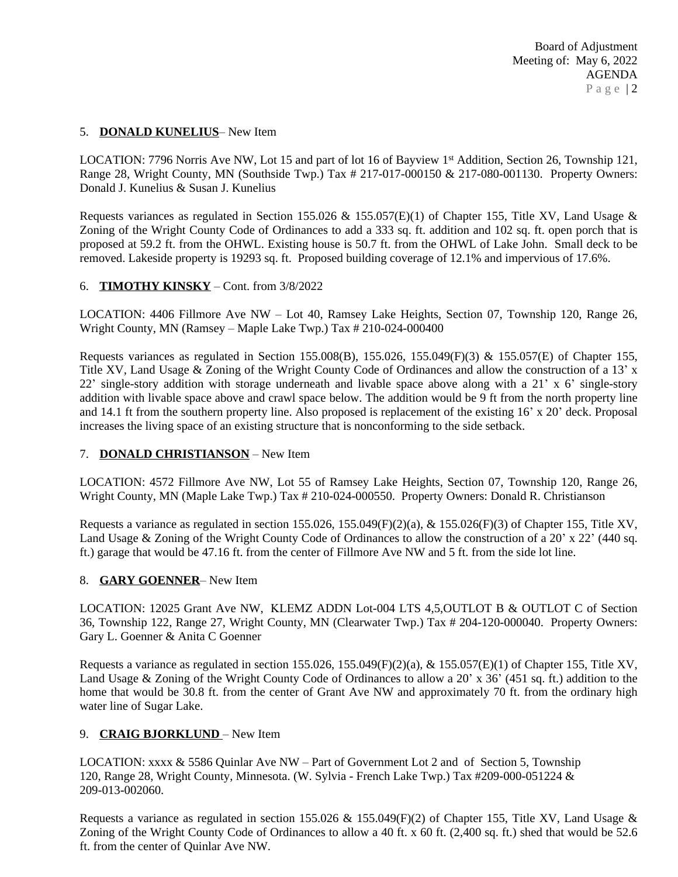### 5. **DONALD KUNELIUS**– New Item

LOCATION: 7796 Norris Ave NW, Lot 15 and part of lot 16 of Bayview 1<sup>st</sup> Addition, Section 26, Township 121, Range 28, Wright County, MN (Southside Twp.) Tax # 217-017-000150 & 217-080-001130. Property Owners: Donald J. Kunelius & Susan J. Kunelius

Requests variances as regulated in Section 155.026 & 155.057(E)(1) of Chapter 155, Title XV, Land Usage & Zoning of the Wright County Code of Ordinances to add a 333 sq. ft. addition and 102 sq. ft. open porch that is proposed at 59.2 ft. from the OHWL. Existing house is 50.7 ft. from the OHWL of Lake John. Small deck to be removed. Lakeside property is 19293 sq. ft. Proposed building coverage of 12.1% and impervious of 17.6%.

# 6. **TIMOTHY KINSKY** – Cont. from 3/8/2022

LOCATION: 4406 Fillmore Ave NW – Lot 40, Ramsey Lake Heights, Section 07, Township 120, Range 26, Wright County, MN (Ramsey – Maple Lake Twp.) Tax # 210-024-000400

Requests variances as regulated in Section 155.008(B), 155.026, 155.049(F)(3) & 155.057(E) of Chapter 155, Title XV, Land Usage & Zoning of the Wright County Code of Ordinances and allow the construction of a 13' x 22' single-story addition with storage underneath and livable space above along with a 21' x 6' single-story addition with livable space above and crawl space below. The addition would be 9 ft from the north property line and 14.1 ft from the southern property line. Also proposed is replacement of the existing 16' x 20' deck. Proposal increases the living space of an existing structure that is nonconforming to the side setback.

### 7. **DONALD CHRISTIANSON** – New Item

LOCATION: 4572 Fillmore Ave NW, Lot 55 of Ramsey Lake Heights, Section 07, Township 120, Range 26, Wright County, MN (Maple Lake Twp.) Tax # 210-024-000550. Property Owners: Donald R. Christianson

Requests a variance as regulated in section 155.026, 155.049(F)(2)(a), & 155.026(F)(3) of Chapter 155, Title XV, Land Usage & Zoning of the Wright County Code of Ordinances to allow the construction of a 20' x 22' (440 sq. ft.) garage that would be 47.16 ft. from the center of Fillmore Ave NW and 5 ft. from the side lot line.

### 8. **GARY GOENNER**– New Item

LOCATION: 12025 Grant Ave NW, KLEMZ ADDN Lot-004 LTS 4,5,OUTLOT B & OUTLOT C of Section 36, Township 122, Range 27, Wright County, MN (Clearwater Twp.) Tax # 204-120-000040. Property Owners: Gary L. Goenner & Anita C Goenner

Requests a variance as regulated in section 155.026, 155.049(F)(2)(a), & 155.057(E)(1) of Chapter 155, Title XV, Land Usage & Zoning of the Wright County Code of Ordinances to allow a 20' x 36' (451 sq. ft.) addition to the home that would be 30.8 ft. from the center of Grant Ave NW and approximately 70 ft. from the ordinary high water line of Sugar Lake.

### 9. **CRAIG BJORKLUND** – New Item

LOCATION: xxxx & 5586 Quinlar Ave NW – Part of Government Lot 2 and of Section 5, Township 120, Range 28, Wright County, Minnesota. (W. Sylvia - French Lake Twp.) Tax #209-000-051224 & 209-013-002060.

Requests a variance as regulated in section 155.026 & 155.049(F)(2) of Chapter 155, Title XV, Land Usage & Zoning of the Wright County Code of Ordinances to allow a 40 ft. x 60 ft. (2,400 sq. ft.) shed that would be 52.6 ft. from the center of Quinlar Ave NW.